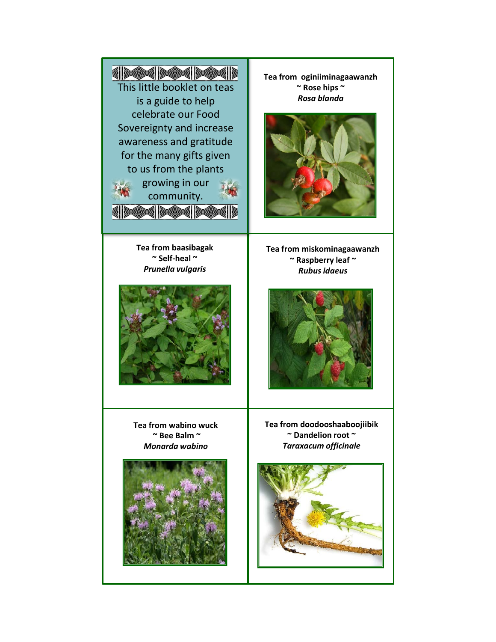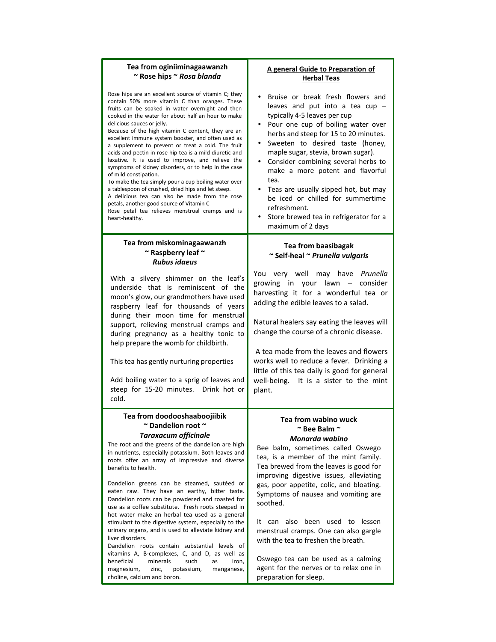| Tea from oginiiminagaawanzh<br>~ Rose hips ~ Rosa blanda                                                                                                                                                                                                                                                                                                                                                                                                                                                                                                                                                                                                                                                                                                                                                                                                                                          | A general Guide to Preparation of<br><b>Herbal Teas</b>                                                                                                                                                                                                                                                                                                                                                                                                                                                                   |
|---------------------------------------------------------------------------------------------------------------------------------------------------------------------------------------------------------------------------------------------------------------------------------------------------------------------------------------------------------------------------------------------------------------------------------------------------------------------------------------------------------------------------------------------------------------------------------------------------------------------------------------------------------------------------------------------------------------------------------------------------------------------------------------------------------------------------------------------------------------------------------------------------|---------------------------------------------------------------------------------------------------------------------------------------------------------------------------------------------------------------------------------------------------------------------------------------------------------------------------------------------------------------------------------------------------------------------------------------------------------------------------------------------------------------------------|
| Rose hips are an excellent source of vitamin C; they<br>contain 50% more vitamin C than oranges. These<br>fruits can be soaked in water overnight and then<br>cooked in the water for about half an hour to make<br>delicious sauces or jelly.<br>Because of the high vitamin C content, they are an<br>excellent immune system booster, and often used as<br>a supplement to prevent or treat a cold. The fruit<br>acids and pectin in rose hip tea is a mild diuretic and<br>laxative. It is used to improve, and relieve the<br>symptoms of kidney disorders, or to help in the case<br>of mild constipation.<br>To make the tea simply pour a cup boiling water over<br>a tablespoon of crushed, dried hips and let steep.<br>A delicious tea can also be made from the rose<br>petals, another good source of Vitamin C<br>Rose petal tea relieves menstrual cramps and is<br>heart-healthy. | Bruise or break fresh flowers and<br>leaves and put into a tea cup -<br>typically 4-5 leaves per cup<br>Pour one cup of boiling water over<br>herbs and steep for 15 to 20 minutes.<br>Sweeten to desired taste (honey,<br>maple sugar, stevia, brown sugar).<br>Consider combining several herbs to<br>$\bullet$<br>make a more potent and flavorful<br>tea.<br>Teas are usually sipped hot, but may<br>be iced or chilled for summertime<br>refreshment.<br>Store brewed tea in refrigerator for a<br>maximum of 2 days |
| Tea from miskominagaawanzh<br>~ Raspberry leaf ~<br><b>Rubus idaeus</b>                                                                                                                                                                                                                                                                                                                                                                                                                                                                                                                                                                                                                                                                                                                                                                                                                           | <b>Tea from baasibagak</b><br>~ Self-heal ~ Prunella vulgaris                                                                                                                                                                                                                                                                                                                                                                                                                                                             |
| With a silvery shimmer on the leaf's<br>underside that is reminiscent of the<br>moon's glow, our grandmothers have used<br>raspberry leaf for thousands of years<br>during their moon time for menstrual<br>support, relieving menstrual cramps and<br>during pregnancy as a healthy tonic to<br>help prepare the womb for childbirth.<br>This tea has gently nurturing properties<br>Add boiling water to a sprig of leaves and<br>steep for 15-20 minutes. Drink hot or<br>cold.                                                                                                                                                                                                                                                                                                                                                                                                                | You very well may have Prunella<br>growing in your lawn - consider<br>harvesting it for a wonderful tea or<br>adding the edible leaves to a salad.<br>Natural healers say eating the leaves will<br>change the course of a chronic disease.<br>A tea made from the leaves and flowers<br>works well to reduce a fever. Drinking a<br>little of this tea daily is good for general<br>well-being. It is a sister to the mint<br>plant.                                                                                     |
| Tea from doodooshaaboojiibik<br>~ Dandelion root ~<br><b>Taraxacum officinale</b><br>The root and the greens of the dandelion are high<br>in nutrients, especially potassium. Both leaves and<br>roots offer an array of impressive and diverse<br>benefits to health.<br>Dandelion greens can be steamed, sautéed or<br>eaten raw. They have an earthy, bitter taste.<br>Dandelion roots can be powdered and roasted for<br>use as a coffee substitute. Fresh roots steeped in<br>hot water make an herbal tea used as a general<br>stimulant to the digestive system, especially to the<br>urinary organs, and is used to alleviate kidney and<br>liver disorders.<br>Dandelion roots contain substantial levels of<br>vitamins A, B-complexes, C, and D, as well as                                                                                                                            | Tea from wabino wuck<br>$\sim$ Bee Balm $\sim$<br>Monarda wabino<br>Bee balm, sometimes called Oswego<br>tea, is a member of the mint family.<br>Tea brewed from the leaves is good for<br>improving digestive issues, alleviating<br>gas, poor appetite, colic, and bloating.<br>Symptoms of nausea and vomiting are<br>soothed.<br>can also been used to lessen<br>It<br>menstrual cramps. One can also gargle<br>with the tea to freshen the breath.                                                                   |
| minerals<br>beneficial<br>such<br>iron,<br>as<br>magnesium,<br>potassium,<br>manganese,<br>zinc,                                                                                                                                                                                                                                                                                                                                                                                                                                                                                                                                                                                                                                                                                                                                                                                                  | Oswego tea can be used as a calming<br>agent for the nerves or to relax one in                                                                                                                                                                                                                                                                                                                                                                                                                                            |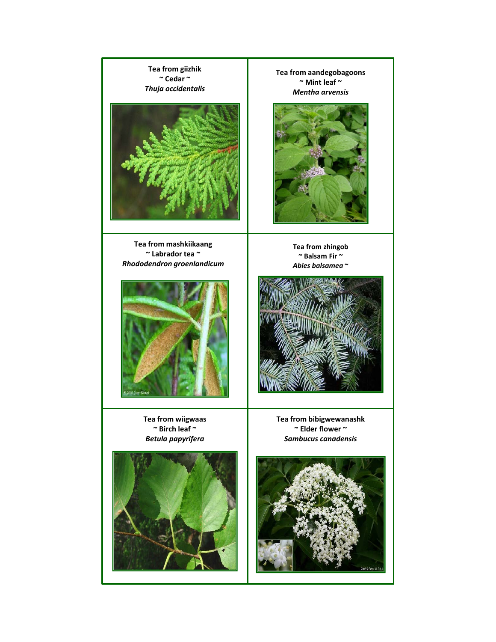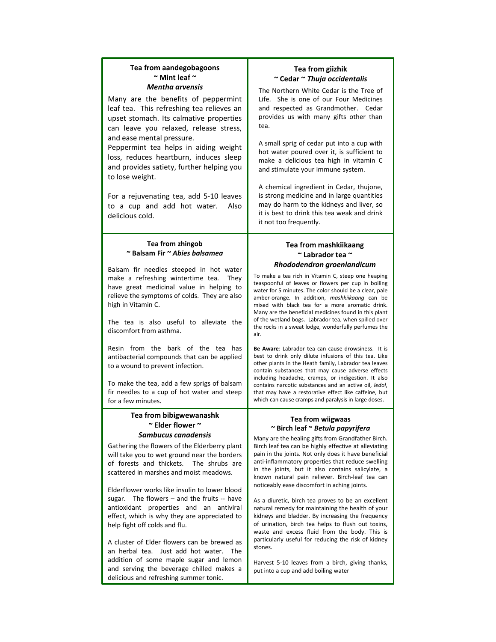# **Tea from aandegobagoons ~ Mint leaf ~**

Many are the benefits of peppermint leaf tea. This refreshing tea relieves an upset stomach. Its calmative properties can leave you relaxed, release stress, and ease mental pressure.

Peppermint tea helps in aiding weight loss, reduces heartburn, induces sleep and provides satiety, further helping you to lose weight.

For a rejuvenating tea, add 5-10 leaves to a cup and add hot water. Also delicious cold.

### **Tea from zhingob ~ Balsam Fir ~** *Abies balsamea*

Balsam fir needles steeped in hot water make a refreshing wintertime tea. They have great medicinal value in helping to relieve the symptoms of colds. They are also high in Vitamin C.

The tea is also useful to alleviate the discomfort from asthma.

Resin from the bark of the tea has antibacterial compounds that can be applied to a wound to prevent infection.

To make the tea, add a few sprigs of balsam fir needles to a cup of hot water and steep for a few minutes.

## **Tea from bibigwewanashk ~ Elder flower ~**  *Sambucus canadensis*

Gathering the flowers of the Elderberry plant will take you to wet ground near the borders of forests and thickets. The shrubs are scattered in marshes and moist meadows.

Elderflower works like insulin to lower blood sugar. The flowers – and the fruits -- have antioxidant properties and an antiviral effect, which is why they are appreciated to help fight off colds and flu.

A cluster of Elder flowers can be brewed as an herbal tea. Just add hot water. The addition of some maple sugar and lemon and serving the beverage chilled makes a delicious and refreshing summer tonic.

# **Tea from giizhik ~ Cedar ~** *Thuja occidentalis*

**Mentha arvensis The Northern White Cedar is the Tree of** Life. She is one of our Four Medicines and respected as Grandmother. Cedar provides us with many gifts other than tea.

> A small sprig of cedar put into a cup with hot water poured over it, is sufficient to make a delicious tea high in vitamin C and stimulate your immune system.

A chemical ingredient in Cedar, thujone, is strong medicine and in large quantities may do harm to the kidneys and liver, so it is best to drink this tea weak and drink it not too frequently.

# **Tea from mashkiikaang ~ Labrador tea ~**  *Rhododendron groenlandicum*

To make a tea rich in Vitamin C, steep one heaping teaspoonful of leaves or flowers per cup in boiling water for 5 minutes. The color should be a clear, pale amber-orange. In addition, *mashkiikaang* can be mixed with black tea for a more aromatic drink. Many are the beneficial medicines found in this plant of the wetland bogs. Labrador tea, when spilled over the rocks in a sweat lodge, wonderfully perfumes the air.

**Be Aware**: Labrador tea can cause drowsiness. It is best to drink only dilute infusions of this tea. Like other plants in the Heath family, Labrador tea leaves contain substances that may cause adverse effects including headache, cramps, or indigestion. It also contains narcotic substances and an active oil, *ledol*, that may have a restorative effect like caffeine, but which can cause cramps and paralysis in large doses.

## **Tea from wiigwaas ~ Birch leaf ~** *Betula papyrifera*

Many are the healing gifts from Grandfather Birch. Birch leaf tea can be highly effective at alleviating pain in the joints. Not only does it have beneficial anti-inflammatory properties that reduce swelling in the joints, but it also contains salicylate, a known natural pain reliever. Birch-leaf tea can noticeably ease discomfort in aching joints.

As a diuretic, birch tea proves to be an excellent natural remedy for maintaining the health of your kidneys and bladder. By increasing the frequency of urination, birch tea helps to flush out toxins, waste and excess fluid from the body. This is particularly useful for reducing the risk of kidney stones.

Harvest 5-10 leaves from a birch, giving thanks, put into a cup and add boiling water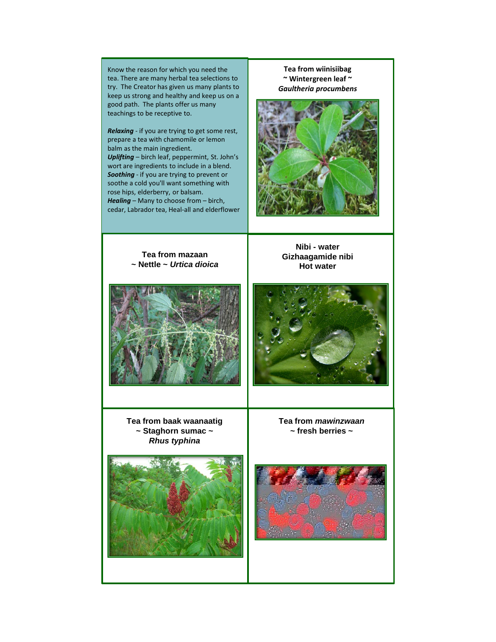